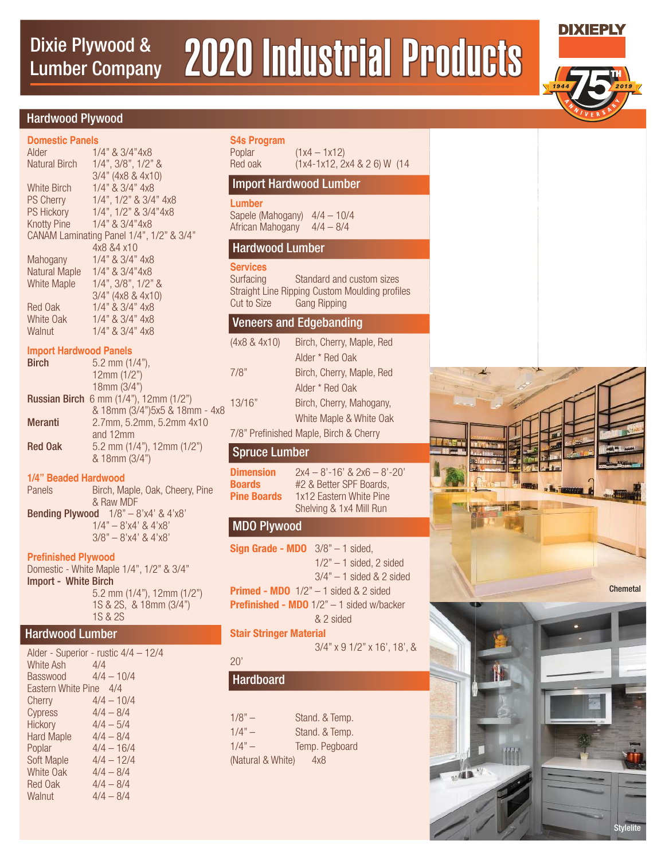# Dixie Plywood & 2020 Industrial Products Lumber Company

**S4s Program** 

### Hardwood Plywood

| <b>Domestic Panels</b>                   |                             |  |
|------------------------------------------|-----------------------------|--|
| Alder                                    | 1/4" & 3/4"4x8              |  |
| Natural Birch                            | $1/4$ ", $3/8$ ", $1/2$ " & |  |
|                                          | 3/4" (4x8 & 4x10)           |  |
| White Birch                              | $1/4$ " & $3/4$ " $4x8$     |  |
| <b>PS Cherry</b>                         | 1/4", 1/2" & 3/4" 4x8       |  |
| <b>PS Hickory</b>                        | 1/4", 1/2" & 3/4"4x8        |  |
| <b>Knotty Pine</b>                       | $1/4$ " & $3/4$ "4x8        |  |
| CANAM Laminating Panel 1/4", 1/2" & 3/4" |                             |  |
|                                          | 4x8 &4 x10                  |  |
| Mahogany                                 | 1/4" & 3/4" 4x8             |  |
| Natural Maple                            | $1/4$ " & $3/4$ "4x8        |  |
| White Maple                              | $1/4$ ", $3/8$ ", $1/2$ " & |  |
|                                          | 3/4" (4x8 & 4x10)           |  |
| Red Oak                                  | $1/4$ " & $3/4$ " $4x8$     |  |
| White Oak                                | $1/4$ " & $3/4$ " $4x8$     |  |
| Walnut                                   | 1/4" & 3/4" 4x8             |  |
| <b>Import Hardwood Panels</b>            |                             |  |

| <b>Birch</b>   | 5.2 mm $(1/4)$ ,                                 |
|----------------|--------------------------------------------------|
|                | 12mm (1/2")                                      |
|                | 18mm (3/4")                                      |
|                | <b>Russian Birch</b> 6 mm $(1/4)$ , 12mm $(1/2)$ |
|                | & 18mm (3/4")5x5 & 18mm - 4x8                    |
| <b>Meranti</b> | 2.7mm, 5.2mm, 5.2mm 4x10                         |
|                | and 12mm                                         |
| <b>Red Oak</b> | 5.2 mm $(1/4)$ , 12mm $(1/2)$                    |
|                | & 18mm (3/4")                                    |

#### **1/4" Beaded Hardwood**

| Panels                 | Birch, Maple, Oak, Cheery, Pine               |
|------------------------|-----------------------------------------------|
|                        | & Raw MDF                                     |
|                        | <b>Bending Plywood</b> $1/8" - 8'x4' & 4'x8'$ |
| $1/4" - 8'x4'$ & 4'x8' |                                               |
|                        | $3/8" - 8'x4'$ & 4'x8'                        |
|                        |                                               |

#### **Prefinished Plywood**

Domestic - White Maple 1/4", 1/2" & 3/4" Import - White Birch 5.2 mm (1/4"), 12mm (1/2") 1S & 2S, & 18mm (3/4") 1S & 2S

#### Hardwood Lumber

| Alder - Superior - rustic 4/4 - 12/4 |  |  |
|--------------------------------------|--|--|
| 4/4                                  |  |  |
| $4/4 - 10/4$                         |  |  |
| Eastern White Pine 4/4               |  |  |
| $4/4 - 10/4$                         |  |  |
| $4/4 - 8/4$                          |  |  |
| $4/4 - 5/4$                          |  |  |
| $4/4 - 8/4$                          |  |  |
| $4/4 - 16/4$                         |  |  |
| $4/4 - 12/4$                         |  |  |
| $4/4 - 8/4$                          |  |  |
| $4/4 - 8/4$                          |  |  |
| $4/4 - 8/4$                          |  |  |
|                                      |  |  |

## Poplar (1x4 – 1x12)<br>Red oak (1x4-1x12-2) Red oak (1x4-1x12, 2x4 & 2 6) W (14 **Lumber** Sapele (Mahogany) 4/4 – 10/4 African Mahogany 4/4 – 8/4 **Services**  Surfacing Standard and custom sizes Straight Line Ripping Custom Moulding profiles Cut to Size Gang Ripping (4x8 & 4x10) Birch, Cherry, Maple, Red Alder \* Red Oak 7/8" Birch, Cherry, Maple, Red Alder \* Red Oak 13/16" Birch, Cherry, Mahogany, White Maple & White Oak 7/8" Prefinished Maple, Birch & Cherry **Dimension**  $2x4 - 8' - 16'$  &  $2x6 - 8' - 20'$ **Boards** #2 & Better SPF Boards,<br>**Pine Boards** 1x12 Eastern White Pine **1x12 Eastern White Pine**  Shelving & 1x4 Mill Run **Sign Grade - MDO** 3/8" – 1 sided,  $1/2" - 1$  sided, 2 sided  $3/4" - 1$  sided & 2 sided **Primed - MDO**  $1/2" - 1$  sided & 2 sided **Prefinished - MDO** 1/2" - 1 sided w/backer & 2 sided **Stair Stringer Material** Import Hardwood Lumber Hardwood Lumber Veneers and Edgebanding Spruce Lumber MDO Plywood

3/4" x 9 1/2" x 16', 18', &

# 3/4" x 11 1/4" x 20' Hardboard

20'

| $1/8" -$          | Stand. & Temp. |
|-------------------|----------------|
| $1/4" -$          | Stand. & Temp. |
| $1/4" -$          | Temp. Pegboard |
| (Natural & White) | 4x8            |



**Stylelite** 



**DIXIEPLY**